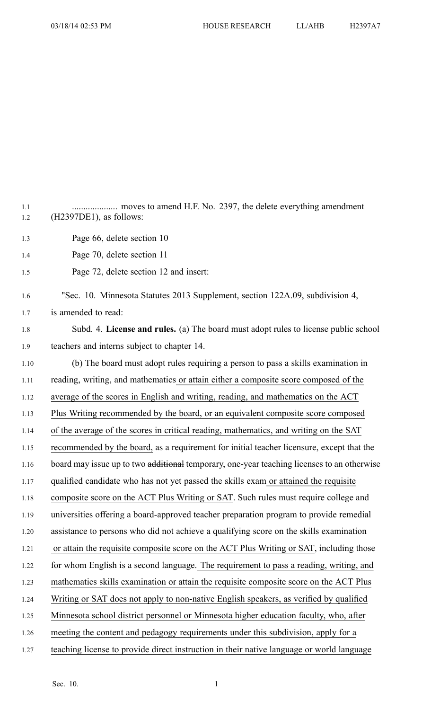1.1 .................... moves to amend H.F. No. 2397, the delete everything amendment 1.2 (H2397DE1), as follows: 1.3 Page 66, delete section 10 1.4 Page 70, delete section 11 1.5 Page 72, delete section 12 and insert: 1.6 "Sec. 10. Minnesota Statutes 2013 Supplement, section 122A.09, subdivision 4, 1.7 is amended to read: 1.8 Subd. 4. **License and rules.** (a) The board must adopt rules to license public school 1.9 teachers and interns subject to chapter 14. 1.10 (b) The board must adopt rules requiring <sup>a</sup> person to pass <sup>a</sup> skills examination in 1.11 reading, writing, and mathematics or attain either <sup>a</sup> composite score composed of the 1.12 average of the scores in English and writing, reading, and mathematics on the ACT 1.13 Plus Writing recommended by the board, or an equivalent composite score composed 1.14 of the average of the scores in critical reading, mathematics, and writing on the SAT 1.15 recommended by the board, as <sup>a</sup> requirement for initial teacher licensure, excep<sup>t</sup> that the 1.16 board may issue up to two additional temporary, one-year teaching licenses to an otherwise 1.17 qualified candidate who has not ye<sup>t</sup> passed the skills exam or attained the requisite 1.18 composite score on the ACT Plus Writing or SAT. Such rules must require college and 1.19 universities offering <sup>a</sup> board-approved teacher preparation program to provide remedial 1.20 assistance to persons who did not achieve <sup>a</sup> qualifying score on the skills examination 1.21 or attain the requisite composite score on the ACT Plus Writing or SAT, including those 1.22 for whom English is <sup>a</sup> second language. The requirement to pass <sup>a</sup> reading, writing, and 1.23 mathematics skills examination or attain the requisite composite score on the ACT Plus 1.24 Writing or SAT does not apply to non-native English speakers, as verified by qualified 1.25 Minnesota school district personnel or Minnesota higher education faculty, who, after 1.26 meeting the content and pedagogy requirements under this subdivision, apply for <sup>a</sup> 1.27 teaching license to provide direct instruction in their native language or world language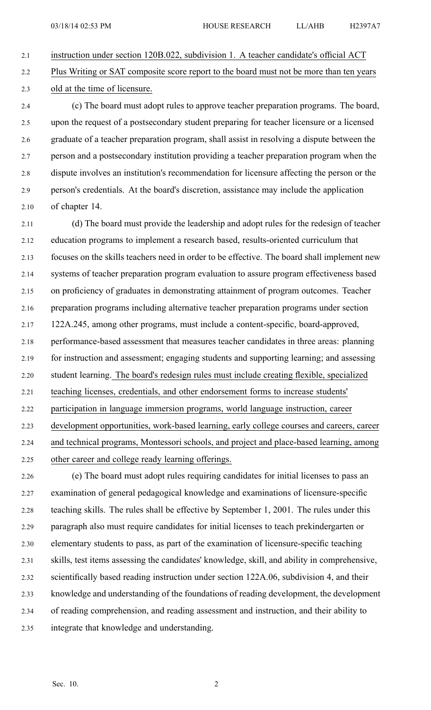2.1 instruction under section 120B.022, subdivision 1. A teacher candidate's official ACT 2.2 Plus Writing or SAT composite score repor<sup>t</sup> to the board must not be more than ten years 2.3 old at the time of licensure.

2.4 (c) The board must adopt rules to approve teacher preparation programs. The board, 2.5 upon the reques<sup>t</sup> of <sup>a</sup> postsecondary student preparing for teacher licensure or <sup>a</sup> licensed 2.6 graduate of <sup>a</sup> teacher preparation program, shall assist in resolving <sup>a</sup> dispute between the 2.7 person and <sup>a</sup> postsecondary institution providing <sup>a</sup> teacher preparation program when the 2.8 dispute involves an institution's recommendation for licensure affecting the person or the 2.9 person's credentials. At the board's discretion, assistance may include the application 2.10 of chapter 14.

2.11 (d) The board must provide the leadership and adopt rules for the redesign of teacher 2.12 education programs to implement <sup>a</sup> research based, results-oriented curriculum that 2.13 focuses on the skills teachers need in order to be effective. The board shall implement new 2.14 systems of teacher preparation program evaluation to assure program effectiveness based 2.15 on proficiency of graduates in demonstrating attainment of program outcomes. Teacher 2.16 preparation programs including alternative teacher preparation programs under section 2.17 122A.245, among other programs, must include <sup>a</sup> content-specific, board-approved, 2.18 performance-based assessment that measures teacher candidates in three areas: planning 2.19 for instruction and assessment; engaging students and supporting learning; and assessing 2.20 student learning. The board's redesign rules must include creating flexible, specialized 2.21 teaching licenses, credentials, and other endorsement forms to increase students' 2.22 participation in language immersion programs, world language instruction, career 2.23 development opportunities, work-based learning, early college courses and careers, career 2.24 and technical programs, Montessori schools, and project and place-based learning, among 2.25 other career and college ready learning offerings.

2.26 (e) The board must adopt rules requiring candidates for initial licenses to pass an 2.27 examination of general pedagogical knowledge and examinations of licensure-specific 2.28 teaching skills. The rules shall be effective by September 1, 2001. The rules under this 2.29 paragraph also must require candidates for initial licenses to teach prekindergarten or 2.30 elementary students to pass, as par<sup>t</sup> of the examination of licensure-specific teaching 2.31 skills, test items assessing the candidates' knowledge, skill, and ability in comprehensive, 2.32 scientifically based reading instruction under section 122A.06, subdivision 4, and their 2.33 knowledge and understanding of the foundations of reading development, the development 2.34 of reading comprehension, and reading assessment and instruction, and their ability to 2.35 integrate that knowledge and understanding.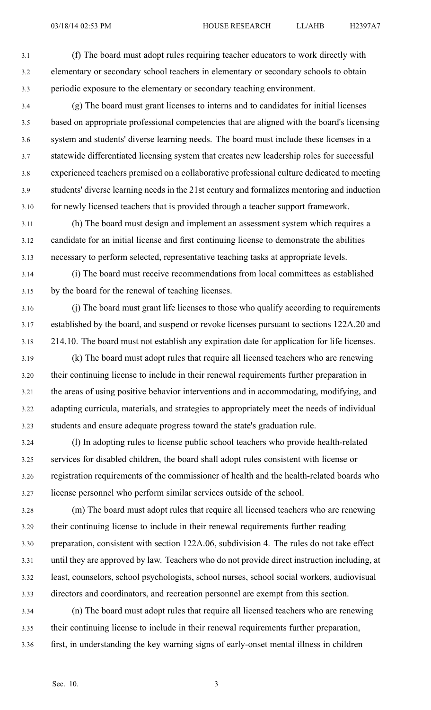3.1 (f) The board must adopt rules requiring teacher educators to work directly with 3.2 elementary or secondary school teachers in elementary or secondary schools to obtain 3.3 periodic exposure to the elementary or secondary teaching environment.

3.4 (g) The board must gran<sup>t</sup> licenses to interns and to candidates for initial licenses 3.5 based on appropriate professional competencies that are aligned with the board's licensing 3.6 system and students' diverse learning needs. The board must include these licenses in <sup>a</sup> 3.7 statewide differentiated licensing system that creates new leadership roles for successful 3.8 experienced teachers premised on <sup>a</sup> collaborative professional culture dedicated to meeting 3.9 students' diverse learning needs in the 21st century and formalizes mentoring and induction 3.10 for newly licensed teachers that is provided through <sup>a</sup> teacher suppor<sup>t</sup> framework.

3.11 (h) The board must design and implement an assessment system which requires <sup>a</sup> 3.12 candidate for an initial license and first continuing license to demonstrate the abilities 3.13 necessary to perform selected, representative teaching tasks at appropriate levels.

3.14 (i) The board must receive recommendations from local committees as established 3.15 by the board for the renewal of teaching licenses.

3.16 (j) The board must gran<sup>t</sup> life licenses to those who qualify according to requirements 3.17 established by the board, and suspend or revoke licenses pursuan<sup>t</sup> to sections 122A.20 and 3.18 214.10. The board must not establish any expiration date for application for life licenses.

3.19 (k) The board must adopt rules that require all licensed teachers who are renewing 3.20 their continuing license to include in their renewal requirements further preparation in 3.21 the areas of using positive behavior interventions and in accommodating, modifying, and 3.22 adapting curricula, materials, and strategies to appropriately meet the needs of individual 3.23 students and ensure adequate progress toward the state's graduation rule.

3.24 (l) In adopting rules to license public school teachers who provide health-related 3.25 services for disabled children, the board shall adopt rules consistent with license or 3.26 registration requirements of the commissioner of health and the health-related boards who 3.27 license personnel who perform similar services outside of the school.

3.28 (m) The board must adopt rules that require all licensed teachers who are renewing 3.29 their continuing license to include in their renewal requirements further reading 3.30 preparation, consistent with section 122A.06, subdivision 4. The rules do not take effect 3.31 until they are approved by law. Teachers who do not provide direct instruction including, at 3.32 least, counselors, school psychologists, school nurses, school social workers, audiovisual 3.33 directors and coordinators, and recreation personnel are exemp<sup>t</sup> from this section.

3.34 (n) The board must adopt rules that require all licensed teachers who are renewing 3.35 their continuing license to include in their renewal requirements further preparation, 3.36 first, in understanding the key warning signs of early-onset mental illness in children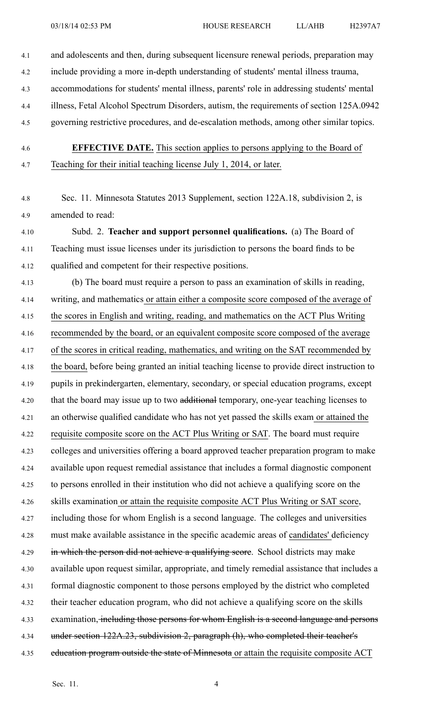- 4.1 and adolescents and then, during subsequent licensure renewal periods, preparation may
- 4.2 include providing <sup>a</sup> more in-depth understanding of students' mental illness trauma,
- 4.3 accommodations for students' mental illness, parents' role in addressing students' mental
- 4.4 illness, Fetal Alcohol Spectrum Disorders, autism, the requirements of section 125A.0942
- 4.5 governing restrictive procedures, and de-escalation methods, among other similar topics.
- 

4.6 **EFFECTIVE DATE.** This section applies to persons applying to the Board of 4.7 Teaching for their initial teaching license July 1, 2014, or later.

4.8 Sec. 11. Minnesota Statutes 2013 Supplement, section 122A.18, subdivision 2, is 4.9 amended to read:

4.10 Subd. 2. **Teacher and suppor<sup>t</sup> personnel qualifications.** (a) The Board of 4.11 Teaching must issue licenses under its jurisdiction to persons the board finds to be 4.12 qualified and competent for their respective positions.

4.13 (b) The board must require <sup>a</sup> person to pass an examination of skills in reading, 4.14 writing, and mathematics or attain either <sup>a</sup> composite score composed of the average of 4.15 the scores in English and writing, reading, and mathematics on the ACT Plus Writing 4.16 recommended by the board, or an equivalent composite score composed of the average 4.17 of the scores in critical reading, mathematics, and writing on the SAT recommended by 4.18 the board, before being granted an initial teaching license to provide direct instruction to 4.19 pupils in prekindergarten, elementary, secondary, or special education programs, excep<sup>t</sup> 4.20 that the board may issue up to two additional temporary, one-year teaching licenses to 4.21 an otherwise qualified candidate who has not ye<sup>t</sup> passed the skills exam or attained the 4.22 requisite composite score on the ACT Plus Writing or SAT. The board must require 4.23 colleges and universities offering <sup>a</sup> board approved teacher preparation program to make 4.24 available upon reques<sup>t</sup> remedial assistance that includes <sup>a</sup> formal diagnostic componen<sup>t</sup> 4.25 to persons enrolled in their institution who did not achieve <sup>a</sup> qualifying score on the 4.26 skills examination or attain the requisite composite ACT Plus Writing or SAT score, 4.27 including those for whom English is <sup>a</sup> second language. The colleges and universities 4.28 must make available assistance in the specific academic areas of candidates' deficiency 4.29 in which the person did not achieve a qualifying score. School districts may make 4.30 available upon reques<sup>t</sup> similar, appropriate, and timely remedial assistance that includes <sup>a</sup> 4.31 formal diagnostic componen<sup>t</sup> to those persons employed by the district who completed 4.32 their teacher education program, who did not achieve <sup>a</sup> qualifying score on the skills 4.33 examination, including those persons for whom English is a second language and persons 4.34 under section 122A.23, subdivision 2, paragraph (h), who completed their teacher's 4.35 education program outside the state of Minnesota or attain the requisite composite ACT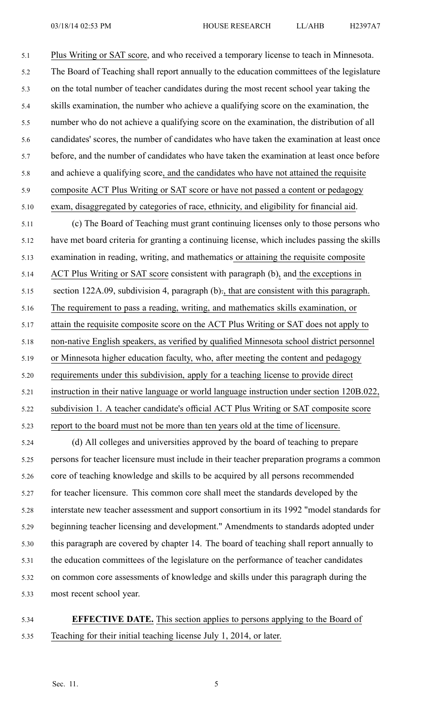5.1 Plus Writing or SAT score, and who received <sup>a</sup> temporary license to teach in Minnesota. 5.2 The Board of Teaching shall repor<sup>t</sup> annually to the education committees of the legislature 5.3 on the total number of teacher candidates during the most recent school year taking the 5.4 skills examination, the number who achieve <sup>a</sup> qualifying score on the examination, the 5.5 number who do not achieve <sup>a</sup> qualifying score on the examination, the distribution of all 5.6 candidates' scores, the number of candidates who have taken the examination at least once 5.7 before, and the number of candidates who have taken the examination at least once before 5.8 and achieve <sup>a</sup> qualifying score, and the candidates who have not attained the requisite 5.9 composite ACT Plus Writing or SAT score or have not passed <sup>a</sup> content or pedagogy 5.10 exam, disaggregated by categories of race, ethnicity, and eligibility for financial aid.

5.11 (c) The Board of Teaching must gran<sup>t</sup> continuing licenses only to those persons who 5.12 have met board criteria for granting <sup>a</sup> continuing license, which includes passing the skills 5.13 examination in reading, writing, and mathematics or attaining the requisite composite 5.14 ACT Plus Writing or SAT score consistent with paragraph (b), and the exceptions in 5.15 section 122A.09, subdivision 4, paragraph (b)., that are consistent with this paragraph. 5.16 The requirement to pass <sup>a</sup> reading, writing, and mathematics skills examination, or 5.17 attain the requisite composite score on the ACT Plus Writing or SAT does not apply to 5.18 non-native English speakers, as verified by qualified Minnesota school district personnel 5.19 or Minnesota higher education faculty, who, after meeting the content and pedagogy 5.20 requirements under this subdivision, apply for <sup>a</sup> teaching license to provide direct 5.21 instruction in their native language or world language instruction under section 120B.022, 5.22 subdivision 1. A teacher candidate's official ACT Plus Writing or SAT composite score 5.23 repor<sup>t</sup> to the board must not be more than ten years old at the time of licensure.

5.24 (d) All colleges and universities approved by the board of teaching to prepare 5.25 persons for teacher licensure must include in their teacher preparation programs <sup>a</sup> common 5.26 core of teaching knowledge and skills to be acquired by all persons recommended 5.27 for teacher licensure. This common core shall meet the standards developed by the 5.28 interstate new teacher assessment and suppor<sup>t</sup> consortium in its 1992 "model standards for 5.29 beginning teacher licensing and development." Amendments to standards adopted under 5.30 this paragraph are covered by chapter 14. The board of teaching shall repor<sup>t</sup> annually to 5.31 the education committees of the legislature on the performance of teacher candidates 5.32 on common core assessments of knowledge and skills under this paragraph during the 5.33 most recent school year.

5.34 **EFFECTIVE DATE.** This section applies to persons applying to the Board of 5.35 Teaching for their initial teaching license July 1, 2014, or later.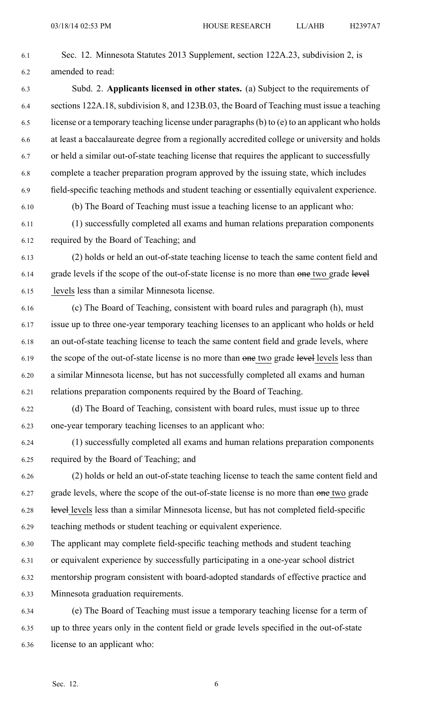6.1 Sec. 12. Minnesota Statutes 2013 Supplement, section 122A.23, subdivision 2, is 6.2 amended to read: 6.3 Subd. 2. **Applicants licensed in other states.** (a) Subject to the requirements of 6.4 sections 122A.18, subdivision 8, and 123B.03, the Board of Teaching must issue <sup>a</sup> teaching 6.5 license or <sup>a</sup> temporary teaching license under paragraphs(b) to (e) to an applicant who holds 6.6 at least <sup>a</sup> baccalaureate degree from <sup>a</sup> regionally accredited college or university and holds 6.7 or held <sup>a</sup> similar out-of-state teaching license that requires the applicant to successfully 6.8 complete <sup>a</sup> teacher preparation program approved by the issuing state, which includes 6.9 field-specific teaching methods and student teaching or essentially equivalent experience.

6.10 (b) The Board of Teaching must issue <sup>a</sup> teaching license to an applicant who:

6.11 (1) successfully completed all exams and human relations preparation components 6.12 required by the Board of Teaching; and

6.13 (2) holds or held an out-of-state teaching license to teach the same content field and 6.14 grade levels if the scope of the out-of-state license is no more than one two grade level 6.15 levels less than <sup>a</sup> similar Minnesota license.

6.16 (c) The Board of Teaching, consistent with board rules and paragraph (h), must 6.17 issue up to three one-year temporary teaching licenses to an applicant who holds or held 6.18 an out-of-state teaching license to teach the same content field and grade levels, where 6.19 the scope of the out-of-state license is no more than one two grade level levels less than 6.20 <sup>a</sup> similar Minnesota license, but has not successfully completed all exams and human 6.21 relations preparation components required by the Board of Teaching.

6.22 (d) The Board of Teaching, consistent with board rules, must issue up to three 6.23 one-year temporary teaching licenses to an applicant who:

6.24 (1) successfully completed all exams and human relations preparation components 6.25 required by the Board of Teaching; and

6.26 (2) holds or held an out-of-state teaching license to teach the same content field and 6.27 grade levels, where the scope of the out-of-state license is no more than one two grade 6.28 level levels less than <sup>a</sup> similar Minnesota license, but has not completed field-specific 6.29 teaching methods or student teaching or equivalent experience.

6.30 The applicant may complete field-specific teaching methods and student teaching

6.31 or equivalent experience by successfully participating in <sup>a</sup> one-year school district

6.32 mentorship program consistent with board-adopted standards of effective practice and

6.33 Minnesota graduation requirements.

6.34 (e) The Board of Teaching must issue <sup>a</sup> temporary teaching license for <sup>a</sup> term of 6.35 up to three years only in the content field or grade levels specified in the out-of-state 6.36 license to an applicant who: